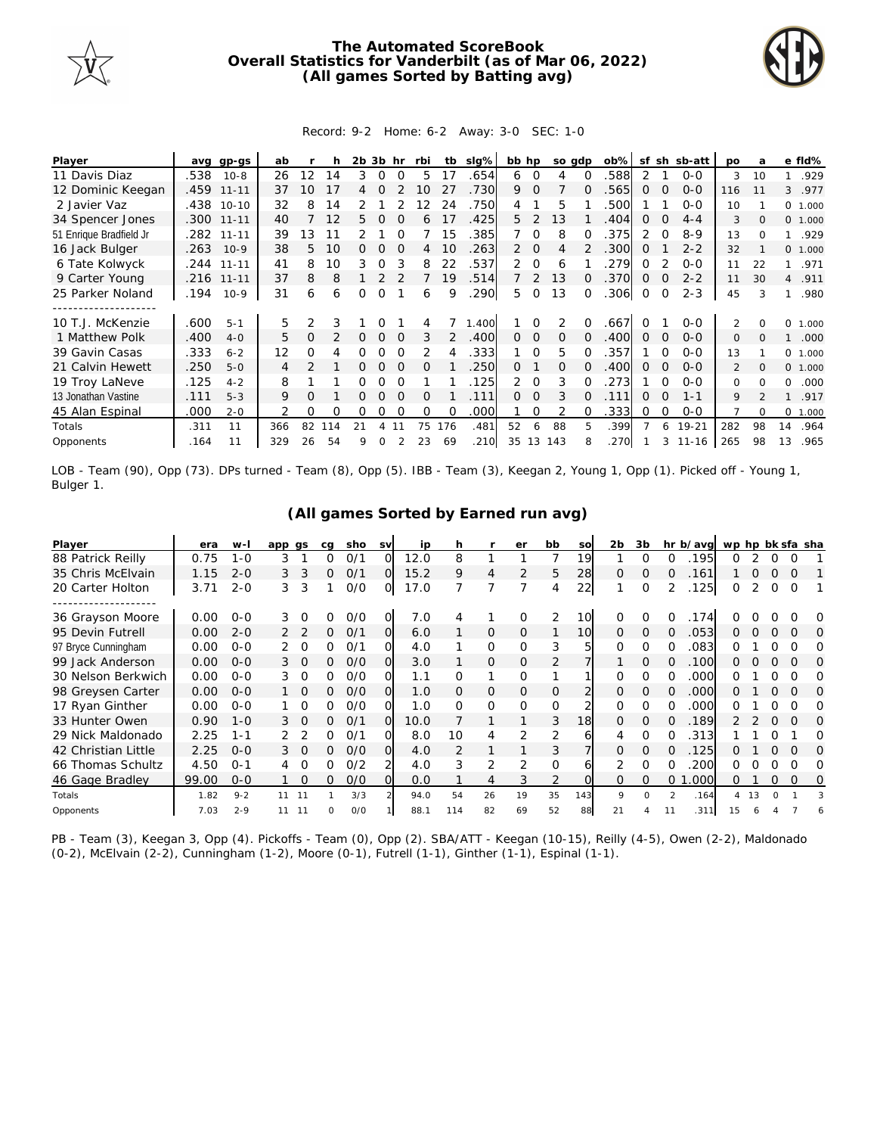

## **The Automated ScoreBook Overall Statistics for Vanderbilt (as of Mar 06, 2022) (All games Sorted by Batting avg)**



## Record: 9-2 Home: 6-2 Away: 3-0 SEC: 1-0

| Player                  | ava  | gp-gs        | ab  |               |     | 2b | 3b       | hr       | rbi      | tb            | $slq\%$ | bb hp          |                | so gdp   |              | $ob\%$ | sf          | sh       | sb-att        | <b>DO</b>      | a        |          | e fld%  |
|-------------------------|------|--------------|-----|---------------|-----|----|----------|----------|----------|---------------|---------|----------------|----------------|----------|--------------|--------|-------------|----------|---------------|----------------|----------|----------|---------|
| 11 Davis Diaz           | .538 | $10 - 8$     | 26  | 12            | 14  | 3  | $\Omega$ |          | 5.       | 17            | .654    | 6              | $\Omega$       | 4        |              | 588    | 2           |          | $0 - 0$       | 3              | 10       |          | .929    |
| 12 Dominic Keegan       | .459 | $11 - 11$    | 37  | 10            | 17  |    | Ω        |          | 10       | 27            | 730     | 9.             | $\Omega$       |          | O            | .565   | $\Omega$    | $\Omega$ | $0 - 0$       | 116            | 11       | 3        | .977    |
| 2 Javier Vaz            |      | .438 10-10   | 32  | 8             | 14  |    |          |          | 2        | 24            | .750    | 4              |                | 5        |              | .500   |             |          | $0 - 0$       | 10             |          |          | 0 1.000 |
| 34 Spencer Jones        |      | $.300$ 11-11 | 40  |               | 12  | 5. |          |          | 6        |               | .425    | 5.             | 2              | 13       |              | .404   | 0           |          | $4 - 4$       | 3              | $\Omega$ |          | 0 1.000 |
| 51 Enrique Bradfield Jr |      | .282 11-11   | 39  | 13            |     |    |          |          |          | 15            | .385    |                | ∩              | 8        |              | .375   |             |          | $8 - 9$       | 13             |          |          | .929    |
| 16 Jack Bulger          | .263 | $10-9$       | 38  | 5.            | 10  | 0  |          |          | 4        | 10            | .263    | $\overline{2}$ | $\overline{0}$ | 4        |              | .300   | $\Omega$    |          | $2 - 2$       | 32             |          |          | 0 1.000 |
| 6 Tate Kolwyck          | .244 | $11 - 11$    | 41  | 8             | 10  | 3  | 0        |          | 8        | 22            | .537    | 2.             | $\Omega$       | 6        |              | .279   | $\Omega$    |          | $0 - 0$       | 11             | 22       |          | .971    |
| 9 Carter Young          |      | .216 11-11   | 37  | 8             | 8   |    |          |          |          | 19            | .514    |                | 2              | 13       | <sup>o</sup> | .370   | $\Omega$    |          | $2 - 2$       | 11             | 30       | 4        | .911    |
| 25 Parker Noland        | .194 | $10-9$       | 31  | 6             | 6   | 0  | 0        |          | 6        | 9             | 290     | 5.             | $\Omega$       | 13       | 0            | .306   | $\mathbf 0$ | $\Omega$ | $2 - 3$       | 45             | 3        |          | .980    |
|                         |      |              |     |               |     |    |          |          |          |               |         |                |                |          |              |        |             |          |               |                |          |          |         |
| 10 T.J. McKenzie        | .600 | $5 - 1$      | 5.  | $\mathcal{P}$ |     |    |          |          |          |               | .400    |                |                |          |              | .667   |             |          | $0 - 0$       | 2              |          | 0        | 1.000   |
| 1 Matthew Polk          | .400 | $4 - 0$      | 5.  | $\Omega$      |     | 0  | 0        |          | 3        | $\mathcal{P}$ | .400    | $\Omega$       | $\Omega$       | $\Omega$ | <sup>o</sup> | .400   | $\Omega$    | $\Omega$ | $0 - 0$       | $\mathbf{0}$   | $\Omega$ |          | .000    |
| 39 Gavin Casas          | .333 | $6 - 2$      | 12  | Ω             |     |    |          |          |          |               | .333    |                | $\Omega$       | 5        |              | .357   |             |          | $0 - 0$       | 13             |          |          | 0 1.000 |
| 21 Calvin Hewett        | .250 | $5 - 0$      | 4   |               |     |    | 0        |          | $\Omega$ |               | 250     | $\Omega$       |                | 0        | 0            | .400   | $\Omega$    |          | $0 - 0$       | $\mathfrak{D}$ | $\Omega$ |          | 0 1.000 |
| 19 Troy LaNeve          | .125 | $4 - 2$      | 8   |               |     | Ω  | Ω        |          |          |               | 125     | 2.             | 0              | 3        | 0            | 273    |             |          | $0 - 0$       | $\Omega$       | $\Omega$ | $\Omega$ | .000    |
| 13 Jonathan Vastine     | .111 | $5 - 3$      | 9   | 0             |     | 0  | $\Omega$ | $\Omega$ | $\Omega$ |               | .111    | $\Omega$       | $\Omega$       | 3        | 0            | .111   | $\Omega$    | $\Omega$ | $1 - 1$       | 9              |          |          | .917    |
| 45 Alan Espinal         | .000 | $2 - 0$      | 2   | 0             | 0   | Ω  | Ω        |          | $\Omega$ | $\Omega$      | .000    |                | $\Omega$       |          | <sup>o</sup> | .333   | 0           | $\Omega$ | $O - O$       |                | $\Omega$ | 0        | 1.000   |
| Totals                  | .311 | 11           | 366 | 82            | 114 |    |          |          | 75       | 176           | .481    | 52             | 6              | 88       | 5.           | .399   |             | 6        | $19 - 21$     | 282            | 98       | 14       | .964    |
| Opponents               | .164 | 11           | 329 | 26            | 54  | 9  | $\Omega$ |          | 23       | 69            | .210    | 35             | 13             | 143      |              | .270   |             |          | $3 \t11 - 16$ | 265            | 98       | 13       | .965    |

LOB - Team (90), Opp (73). DPs turned - Team (8), Opp (5). IBB - Team (3), Keegan 2, Young 1, Opp (1). Picked off - Young 1, Bulger 1.

|  |  | (All games Sorted by Earned run avg) |  |
|--|--|--------------------------------------|--|
|  |  |                                      |  |

| Player              | era   | $W -$   | app gs |                | ca | sho | <b>SV</b> | ip   | h   |    | er             | bb             | SO       | 2 <sub>b</sub> | 3b       | hr       | b/avg | wp hp bk sfa sha |    |          |             |   |
|---------------------|-------|---------|--------|----------------|----|-----|-----------|------|-----|----|----------------|----------------|----------|----------------|----------|----------|-------|------------------|----|----------|-------------|---|
| 88 Patrick Reilly   | 0.75  | $1 - 0$ | 3      |                | Ω  | 0/1 | 0         | 12.0 | 8   |    |                | 7              | 19       |                | $\Omega$ |          | 195   | 0                |    | 0        |             |   |
| 35 Chris McElvain   | 1.15  | $2 - 0$ | 3      | 3              | 0  | 0/1 | O         | 15.2 | 9   | 4  | $\overline{2}$ | 5              | 28       | $\Omega$       | $\Omega$ | $\Omega$ | 161   |                  | Ο  |          | $\Omega$    |   |
| 20 Carter Holton    | 3.71  | $2 - 0$ | 3      | 3              |    | 0/0 | O         | 17.0 |     | 7  |                | 4              | 22       |                | $\Omega$ |          | 125   | 0                | 2  | $\Omega$ | $\Omega$    |   |
|                     |       |         |        |                |    |     |           |      |     |    |                |                |          |                |          |          |       |                  |    |          |             |   |
| 36 Grayson Moore    | 0.00  | $0 - 0$ | 3      | $\Omega$       | O  | 0/0 | 0         | 7.0  |     |    | O              | 2              | 10       | <sup>o</sup>   | 0        |          | 174   |                  |    |          |             | O |
| 95 Devin Futrell    | 0.00  | $2 - 0$ |        |                | 0  | 0/1 | O         | 6.0  |     | 0  | $\mathbf{0}$   |                | 10       | $\Omega$       | 0        | $\Omega$ | 053   | 0.               | 0  | $\Omega$ | $\Omega$    | O |
| 97 Bryce Cunningham | 0.00  | $0 - 0$ |        |                | 0  | O/1 | O         | 4.0  |     | 0  | $\Omega$       | 3              |          | 0              | O        | O        | 083   | Ω                |    |          |             | Ω |
| 99 Jack Anderson    | 0.00  | $O - O$ |        | - 0            | 0  | O/O | Ο         | 3.0  |     | 0  | 0              | 2              |          |                | 0        |          | .100  | Ω                |    |          | $\Omega$    | O |
| 30 Nelson Berkwich  | 0.00  | $0 - 0$ | 3.     | $\Omega$       | 0  | O/O |           | 1.1  | Ω   |    | $\Omega$       |                |          | 0              | 0        |          | .000  |                  |    |          |             | O |
| 98 Greysen Carter   | 0.00  | $O - O$ |        | $\overline{0}$ | 0  | O/O | Ο         | 1.0  | 0   | 0  | $\Omega$       | $\overline{O}$ |          | 0              | $\Omega$ |          | .000  | 0                |    |          | $\Omega$    | O |
| 17 Ryan Ginther     | 0.00  | $0 - 0$ |        |                | ∩  | O/O | 0         | 1.0  | O   | 0  | $\Omega$       | $\mathbf 0$    |          | 0              | $\Omega$ |          | .000  | ∩                |    |          |             | O |
| 33 Hunter Owen      | 0.90  | $1 - 0$ | 3.     | $\Omega$       | 0  | 0/1 | $\Omega$  | 10.0 |     |    |                | 3              | 18       | <sup>o</sup>   | $\Omega$ | 0        | .189  | 2.               |    | $\Omega$ | $\Omega$    | O |
| 29 Nick Maldonado   | 2.25  | $1 - 1$ |        |                | ∩  | 0/1 |           | 8.0  | 10  | 4  | 2              | 2              | 6        |                | O        |          | 313   |                  |    |          |             | Ω |
| 42 Christian Little | 2.25  | $0 - 0$ | 3.     | $\Omega$       | 0  | O/O |           | 4.0  | 2   |    |                | 3              |          | <sup>o</sup>   | $\Omega$ | O        | 125   | 0                |    | 0        |             | O |
| 66 Thomas Schultz   | 4.50  | $0 - 1$ | 4      | $\Omega$       | 0  | 0/2 |           | 4.0  | 3   | 2  | $\overline{2}$ | $\Omega$       | h        |                | $\Omega$ | ∩        | 200   | ∩                |    | ∩        |             | 0 |
| 46 Gage Bradley     | 99.00 | $0 - 0$ |        | 0              | 0  | O/O | Ο         | 0.0  |     | 4  | 3              | $\overline{2}$ | $\Omega$ | $\Omega$       | $\Omega$ | $\Omega$ | .000  | 0                |    | 0        | $\mathbf 0$ | 0 |
| Totals              | 1.82  | $9 - 2$ | 11     | 11             |    | 3/3 |           | 94.0 | 54  | 26 | 19             | 35             | 143      | 9              | $\Omega$ |          | .164  | 4                | 13 |          |             |   |
| Opponents           | 7.03  | $2 - 9$ | 11     | 11             | ი  | O/O |           | 88.1 | 114 | 82 | 69             | 52             | 88       | 21             |          |          | 311   | 15               |    |          |             | 6 |

PB - Team (3), Keegan 3, Opp (4). Pickoffs - Team (0), Opp (2). SBA/ATT - Keegan (10-15), Reilly (4-5), Owen (2-2), Maldonado (0-2), McElvain (2-2), Cunningham (1-2), Moore (0-1), Futrell (1-1), Ginther (1-1), Espinal (1-1).